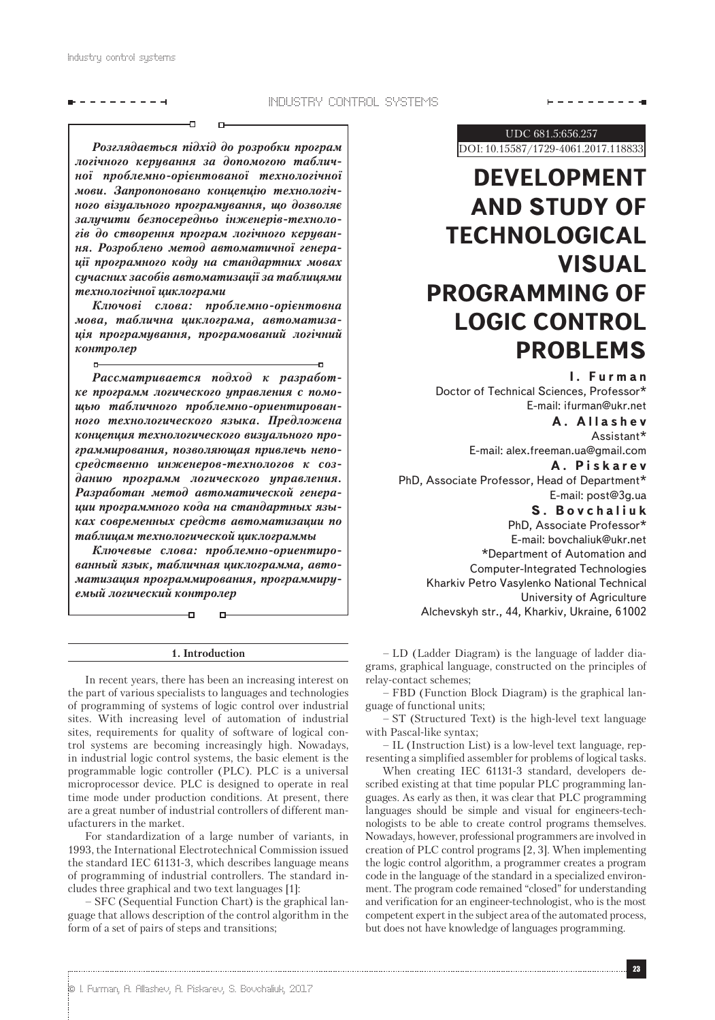Industry control systems

## ---------

 $- - - - - - - - -$ 

*Розглядається підхід до розробки програм логічного керування за допомогою табличної проблемно-орієнтованої технологічної мови. Запропоновано концепцію технологічного візуального програмування, що дозволяє залучити безпосередньо інженерів-технологів до створення програм логічного керування. Розроблено метод автоматичної генерації програмного коду на стандартних мовах сучасних засобів автоматизації за таблицями технологічної циклограми*

*Ключові слова: проблемно-орієнтовна мова, таблична циклограма, автоматизація програмування, програмований логічний контролер*

*Рассматривается подход к разработке программ логического управления с помощью табличного проблемно-ориентированного технологического языка. Предложена концепция технологического визуального программирования, позволяющая привлечь непосредственно инженеров-технологов к созданию программ логического управления. Разработан метод автоматической генерации программного кода на стандартных языках современных средств автоматизации по таблицам технологической циклограммы*

*Ключевые слова: проблемно-ориентированный язык, табличная циклограмма, автоматизация программирования, программируемый логический контролер*

Ð

#### **1. Introduction**

In recent years, there has been an increasing interest on the part of various specialists to languages and technologies of programming of systems of logic control over industrial sites. With increasing level of automation of industrial sites, requirements for quality of software of logical control systems are becoming increasingly high. Nowadays, in industrial logic control systems, the basic element is the programmable logic controller (PLC). PLC is a universal microprocessor device. PLC is designed to operate in real time mode under production conditions. At present, there are a great number of industrial controllers of different manufacturers in the market.

For standardization of a large number of variants, in 1993, the International Electrotechnical Commission issued the standard IEC 61131-3, which describes language means of programming of industrial controllers. The standard includes three graphical and two text languages [1]:

– SFC (Sequential Function Chart) is the graphical language that allows description of the control algorithm in the form of a set of pairs of steps and transitions;

UDC 681.5:656.257

DOI: 10.15587/1729-4061.2017.118833

# **DEVELOPMENT AND STUDY OF TECHNOLOGICAL VISUAL PROGRAMMING OF LOGIC CONTROL PROBLEMS**

**I. Furman** Doctor of Technical Sciences, Professor\* Е-mail: ifurman@ukr.net **A. Allashev**

Assistant\* Е-mail: alex.freeman.ua@gmail.com

**A. Piskarev** PhD, Associate Professor, Head of Department\* Е-mail: post@3g.ua

**S. Bovchaliuk**

PhD, Associate Professor\* Е-mail: bovchaliuk@ukr.net \*Department of Automation and Computer-Integrated Technologies Kharkiv Petro Vasylenko National Technical University of Agriculture Alchevskyh str., 44, Kharkiv, Ukraine, 61002

– LD (Ladder Diagram) is the language of ladder diagrams, graphical language, constructed on the principles of relay-contact schemes;

– FBD (Function Block Diagram) is the graphical language of functional units;

– ST (Structured Text) is the high-level text language with Pascal-like syntax;

– IL (Instruction List) is a low-level text language, representing a simplified assembler for problems of logical tasks.

When creating IEC 61131-3 standard, developers described existing at that time popular PLC programming languages. As early as then, it was clear that PLC programming languages should be simple and visual for engineers-technologists to be able to create control programs themselves. Nowadays, however, professional programmers are involved in creation of PLC control programs [2, 3]. When implementing the logic control algorithm, a programmer creates a program code in the language of the standard in a specialized environment. The program code remained "closed" for understanding and verification for an engineer-technologist, who is the most competent expert in the subject area of the automated process, but does not have knowledge of languages programming.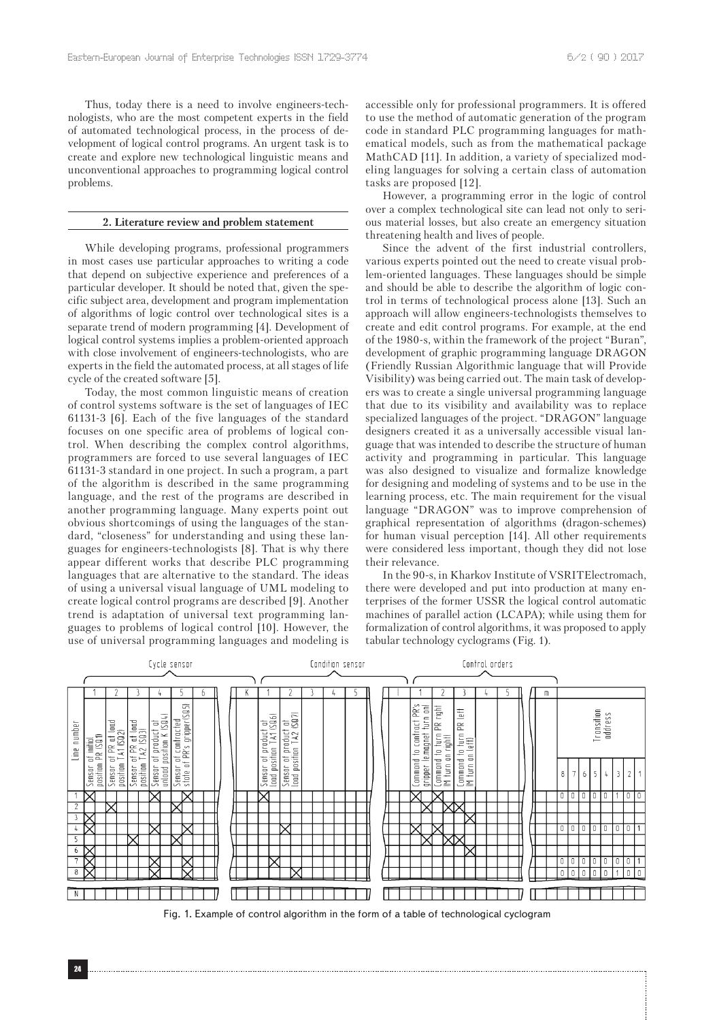Thus, today there is a need to involve engineers-technologists, who are the most competent experts in the field of automated technological process, in the process of development of logical control programs. An urgent task is to create and explore new technological linguistic means and unconventional approaches to programming logical control problems.

## **2. Literature review and problem statement**

While developing programs, professional programmers in most cases use particular approaches to writing a code that depend on subjective experience and preferences of a particular developer. It should be noted that, given the specific subject area, development and program implementation of algorithms of logic control over technological sites is a separate trend of modern programming [4]. Development of logical control systems implies a problem-oriented approach with close involvement of engineers-technologists, who are experts in the field the automated process, at all stages of life cycle of the created software [5].

Today, the most common linguistic means of creation of control systems software is the set of languages of IEC 61131-3 [6]. Each of the five languages of the standard focuses on one specific area of problems of logical control. When describing the complex control algorithms, programmers are forced to use several languages of IEC 61131-3 standard in one project. In such a program, a part of the algorithm is described in the same programming language, and the rest of the programs are described in another programming language. Many experts point out obvious shortcomings of using the languages of the standard, "closeness" for understanding and using these languages for engineers-technologists [8]. That is why there appear different works that describe PLC programming languages that are alternative to the standard. The ideas of using a universal visual language of UML modeling to create logical control programs are described [9]. Another trend is adaptation of universal text programming languages to problems of logical control [10]. However, the use of universal programming languages and modeling is

accessible only for professional programmers. It is offered to use the method of automatic generation of the program code in standard PLC programming languages for mathematical models, such as from the mathematical package MathCAD [11]. In addition, a variety of specialized modeling languages for solving a certain class of automation tasks are proposed [12].

However, a programming error in the logic of control over a complex technological site can lead not only to serious material losses, but also create an emergency situation threatening health and lives of people.

Since the advent of the first industrial controllers, various experts pointed out the need to create visual problem-oriented languages. These languages should be simple and should be able to describe the algorithm of logic control in terms of technological process alone [13]. Such an approach will allow engineers-technologists themselves to create and edit control programs. For example, at the end of the 1980-s, within the framework of the project "Buran", development of graphic programming language DRAGON (Friendly Russian Algorithmic language that will Provide Visibility) was being carried out. The main task of developers was to create a single universal programming language that due to its visibility and availability was to replace specialized languages of the project. "DRAGON" language designers created it as a universally accessible visual language that was intended to describe the structure of human activity and programming in particular. This language was also designed to visualize and formalize knowledge for designing and modeling of systems and to be use in the learning process, etc. The main requirement for the visual language "DRAGON" was to improve comprehension of graphical representation of algorithms (dragon-schemes) for human visual perception [14]. All other requirements were considered less important, though they did not lose their relevance.

In the 90-s, in Kharkov Institute of VSRITElectromach, there were developed and put into production at many enterprises of the former USSR the logical control automatic machines of parallel action (LCAPA); while using them for formalization of control algorithms, it was proposed to apply tabular technology cyclograms (Fig. 1).



Fig. 1. Example of control algorithm in the form of a table of technological cyclogram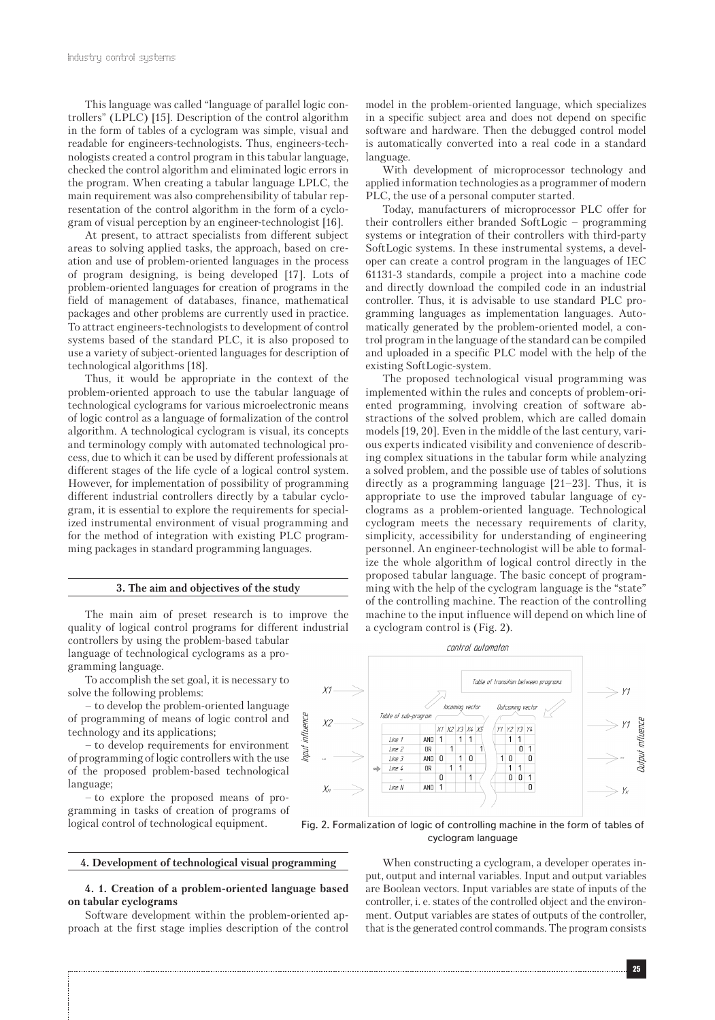This language was called "language of parallel logic controllers" (LPLC) [15]. Description of the control algorithm in the form of tables of a cyclogram was simple, visual and readable for engineers-technologists. Thus, engineers-technologists created a control program in this tabular language, checked the control algorithm and eliminated logic errors in the program. When creating a tabular language LPLC, the main requirement was also comprehensibility of tabular representation of the control algorithm in the form of a cyclogram of visual perception by an engineer-technologist [16].

At present, to attract specialists from different subject areas to solving applied tasks, the approach, based on creation and use of problem-oriented languages in the process of program designing, is being developed [17]. Lots of problem-oriented languages for creation of programs in the field of management of databases, finance, mathematical packages and other problems are currently used in practice. To attract engineers-technologists to development of control systems based of the standard PLC, it is also proposed to use a variety of subject-oriented languages for description of technological algorithms [18].

Thus, it would be appropriate in the context of the problem-oriented approach to use the tabular language of technological cyclograms for various microelectronic means of logic control as a language of formalization of the control algorithm. A technological cyclogram is visual, its concepts and terminology comply with automated technological process, due to which it can be used by different professionals at different stages of the life cycle of a logical control system. However, for implementation of possibility of programming different industrial controllers directly by a tabular cyclogram, it is essential to explore the requirements for specialized instrumental environment of visual programming and for the method of integration with existing PLC programming packages in standard programming languages.

#### **3. The aim and objectives of the study**

The main aim of preset research is to improve the quality of logical control programs for different industrial controllers by using the problem-based tabular language of technological cyclograms as a programming language.

influence

haut

To accomplish the set goal, it is necessary to solve the following problems:

– to develop the problem-oriented language of programming of means of logic control and technology and its applications;

– to develop requirements for environment of programming of logic controllers with the use of the proposed problem-based technological language;

– to explore the proposed means of programming in tasks of creation of programs of logical control of technological equipment.

**4. Development of technological visual programming**

### **4. 1. Creation of a problem-oriented language based on tabular cyclograms**

Software development within the problem-oriented approach at the first stage implies description of the control model in the problem-oriented language, which specializes in a specific subject area and does not depend on specific software and hardware. Then the debugged control model is automatically converted into a real code in a standard language.

With development of microprocessor technology and applied information technologies as a programmer of modern PLC, the use of a personal computer started.

Today, manufacturers of microprocessor PLC offer for their controllers either branded SoftLogic – programming systems or integration of their controllers with third-party SoftLogic systems. In these instrumental systems, a developer can create a control program in the languages of IEC 61131-3 standards, compile a project into a machine code and directly download the compiled code in an industrial controller. Thus, it is advisable to use standard PLC programming languages as implementation languages. Automatically generated by the problem-oriented model, a control program in the language of the standard can be compiled and uploaded in a specific PLC model with the help of the existing SoftLogic-system.

The proposed technological visual programming was implemented within the rules and concepts of problem-oriented programming, involving creation of software abstractions of the solved problem, which are called domain models [19, 20]. Even in the middle of the last century, various experts indicated visibility and convenience of describing complex situations in the tabular form while analyzing a solved problem, and the possible use of tables of solutions directly as a programming language [21–23]. Thus, it is appropriate to use the improved tabular language of cyclograms as a problem-oriented language. Technological cyclogram meets the necessary requirements of clarity, simplicity, accessibility for understanding of engineering personnel. An engineer-technologist will be able to formalize the whole algorithm of logical control directly in the proposed tabular language. The basic concept of programming with the help of the cyclogram language is the "state" of the controlling machine. The reaction of the controlling machine to the input influence will depend on which line of a cyclogram control is (Fig. 2).

control automaton



Fig. 2. Formalization of logic of controlling machine in the form of tables of cyclogram language

> When constructing a cyclogram, a developer operates input, output and internal variables. Input and output variables are Boolean vectors. Input variables are state of inputs of the controller, i. e. states of the controlled object and the environment. Output variables are states of outputs of the controller, that is the generated control commands. The program consists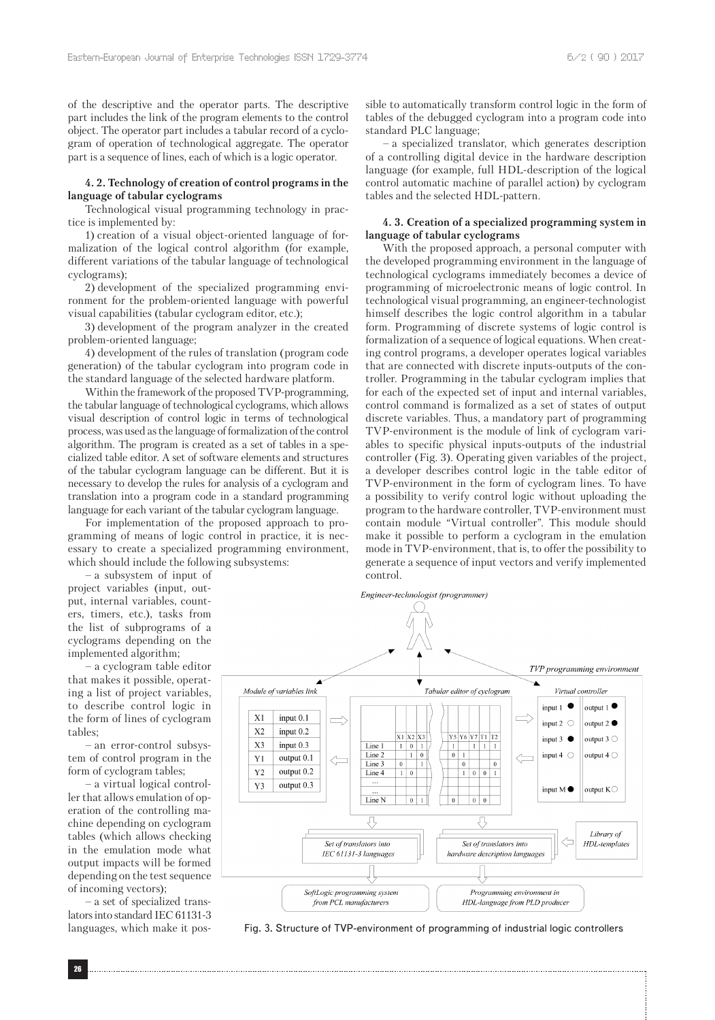of the descriptive and the operator parts. The descriptive part includes the link of the program elements to the control object. The operator part includes a tabular record of a cyclogram of operation of technological aggregate. The operator part is a sequence of lines, each of which is a logic operator.

#### **4. 2. Technology of creation of control programs in the language of tabular cyclograms**

Technological visual programming technology in practice is implemented by:

1) creation of a visual object-oriented language of formalization of the logical control algorithm (for example, different variations of the tabular language of technological cyclograms);

2) development of the specialized programming environment for the problem-oriented language with powerful visual capabilities (tabular cyclogram editor, etc.);

3) development of the program analyzer in the created problem-oriented language;

4) development of the rules of translation (program code generation) of the tabular cyclogram into program code in the standard language of the selected hardware platform.

Within the framework of the proposed TVP-programming, the tabular language of technological cyclograms, which allows visual description of control logic in terms of technological process, was used as the language of formalization of the control algorithm. The program is created as a set of tables in a specialized table editor. A set of software elements and structures of the tabular cyclogram language can be different. But it is necessary to develop the rules for analysis of a cyclogram and translation into a program code in a standard programming language for each variant of the tabular cyclogram language.

For implementation of the proposed approach to programming of means of logic control in practice, it is necessary to create a specialized programming environment, which should include the following subsystems:

– a subsystem of input of project variables (input, output, internal variables, counters, timers, etc.), tasks from the list of subprograms of a cyclograms depending on the implemented algorithm;

– a cyclogram table editor that makes it possible, operating a list of project variables, to describe control logic in the form of lines of cyclogram tables;

– an error-control subsystem of control program in the form of cyclogram tables;

– a virtual logical controller that allows emulation of operation of the controlling machine depending on cyclogram tables (which allows checking in the emulation mode what output impacts will be formed depending on the test sequence of incoming vectors);

– a set of specialized translators into standard IEC 61131-3 languages, which make it possible to automatically transform control logic in the form of tables of the debugged cyclogram into a program code into standard PLC language;

– a specialized translator, which generates description of a controlling digital device in the hardware description language (for example, full HDL-description of the logical control automatic machine of parallel action) by cyclogram tables and the selected HDL-pattern.

## **4. 3. Creation of a specialized programming system in language of tabular cyclograms**

With the proposed approach, a personal computer with the developed programming environment in the language of technological cyclograms immediately becomes a device of programming of microelectronic means of logic control. In technological visual programming, an engineer-technologist himself describes the logic control algorithm in a tabular form. Programming of discrete systems of logic control is formalization of a sequence of logical equations. When creating control programs, a developer operates logical variables that are connected with discrete inputs-outputs of the controller. Programming in the tabular cyclogram implies that for each of the expected set of input and internal variables, control command is formalized as a set of states of output discrete variables. Thus, a mandatory part of programming TVP-environment is the module of link of cyclogram variables to specific physical inputs-outputs of the industrial controller (Fig. 3). Operating given variables of the project, a developer describes control logic in the table editor of TVP-environment in the form of cyclogram lines. To have a possibility to verify control logic without uploading the program to the hardware controller, TVP-environment must contain module "Virtual controller". This module should make it possible to perform a cyclogram in the emulation mode in TVP-environment, that is, to offer the possibility to generate a sequence of input vectors and verify implemented control.

Engineer-technologist (programmer)



Fig. 3. Structure of TVP-environment of programming of industrial logic controllers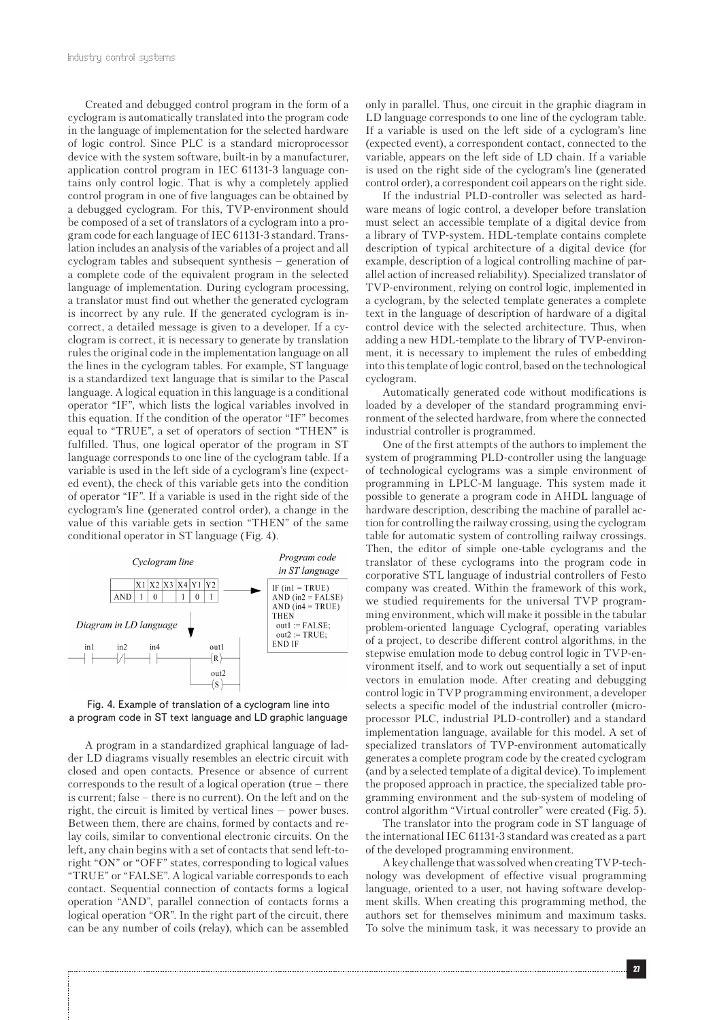Created and debugged control program in the form of a cyclogram is automatically translated into the program code in the language of implementation for the selected hardware of logic control. Since PLC is a standard microprocessor device with the system software, built-in by a manufacturer, application control program in IEC 61131-3 language contains only control logic. That is why a completely applied control program in one of five languages can be obtained by a debugged cyclogram. For this, TVP-environment should be composed of a set of translators of a cyclogram into a program code for each language of IEC 61131-3 standard. Translation includes an analysis of the variables of a project and all cyclogram tables and subsequent synthesis – generation of a complete code of the equivalent program in the selected language of implementation. During cyclogram processing, a translator must find out whether the generated cyclogram is incorrect by any rule. If the generated cyclogram is incorrect, a detailed message is given to a developer. If a cyclogram is correct, it is necessary to generate by translation rules the original code in the implementation language on all the lines in the cyclogram tables. For example, ST language is a standardized text language that is similar to the Pascal language. A logical equation in this language is a conditional operator "IF", which lists the logical variables involved in this equation. If the condition of the operator "IF" becomes equal to "TRUE", a set of operators of section "THEN" is fulfilled. Thus, one logical operator of the program in ST language corresponds to one line of the cyclogram table. If a variable is used in the left side of a cyclogram's line (expected event), the check of this variable gets into the condition of operator "IF". If a variable is used in the right side of the cyclogram's line (generated control order), a change in the value of this variable gets in section "THEN" of the same conditional operator in ST language (Fig. 4).



Fig. 4. Example of translation of a cyclogram line into a program code in ST text language and LD graphic language

A program in a standardized graphical language of ladder LD diagrams visually resembles an electric circuit with closed and open contacts. Presence or absence of current corresponds to the result of a logical operation (true – there is current; false – there is no current). On the left and on the right, the circuit is limited by vertical lines — power buses. Between them, there are chains, formed by contacts and relay coils, similar to conventional electronic circuits. On the left, any chain begins with a set of contacts that send left-toright "ON" or "OFF" states, corresponding to logical values "TRUE" or "FALSE". A logical variable corresponds to each contact. Sequential connection of contacts forms a logical operation "AND", parallel connection of contacts forms a logical operation "OR". In the right part of the circuit, there can be any number of coils (relay), which can be assembled

only in parallel. Thus, one circuit in the graphic diagram in LD language corresponds to one line of the cyclogram table. If a variable is used on the left side of a cyclogram's line (expected event), a correspondent contact, connected to the variable, appears on the left side of LD chain. If a variable is used on the right side of the cyclogram's line (generated control order), a correspondent coil appears on the right side.

If the industrial PLD-controller was selected as hardware means of logic control, a developer before translation must select an accessible template of a digital device from a library of TVP-system. HDL-template contains complete description of typical architecture of a digital device (for example, description of a logical controlling machine of parallel action of increased reliability). Specialized translator of TVP-environment, relying on control logic, implemented in a cyclogram, by the selected template generates a complete text in the language of description of hardware of a digital control device with the selected architecture. Thus, when adding a new HDL-template to the library of TVP-environment, it is necessary to implement the rules of embedding into this template of logic control, based on the technological cyclogram.

Automatically generated code without modifications is loaded by a developer of the standard programming environment of the selected hardware, from where the connected industrial controller is programmed.

One of the first attempts of the authors to implement the system of programming PLD-controller using the language of technological cyclograms was a simple environment of programming in LPLC-M language. This system made it possible to generate a program code in AHDL language of hardware description, describing the machine of parallel action for controlling the railway crossing, using the cyclogram table for automatic system of controlling railway crossings. Then, the editor of simple one-table cyclograms and the translator of these cyclograms into the program code in corporative STL language of industrial controllers of Festo company was created. Within the framework of this work, we studied requirements for the universal TVP programming environment, which will make it possible in the tabular problem-oriented language Cyclograf, operating variables of a project, to describe different control algorithms, in the stepwise emulation mode to debug control logic in TVP-environment itself, and to work out sequentially a set of input vectors in emulation mode. After creating and debugging control logic in TVP programming environment, a developer selects a specific model of the industrial controller (microprocessor PLC, industrial PLD-controller) and a standard implementation language, available for this model. A set of specialized translators of TVP-environment automatically generates a complete program code by the created cyclogram (and by a selected template of a digital device). To implement the proposed approach in practice, the specialized table programming environment and the sub-system of modeling of control algorithm "Virtual controller" were created (Fig. 5).

The translator into the program code in ST language of the international IEC 61131-3 standard was created as a part of the developed programming environment.

A key challenge that was solved when creating TVP-technology was development of effective visual programming language, oriented to a user, not having software development skills. When creating this programming method, the authors set for themselves minimum and maximum tasks. To solve the minimum task, it was necessary to provide an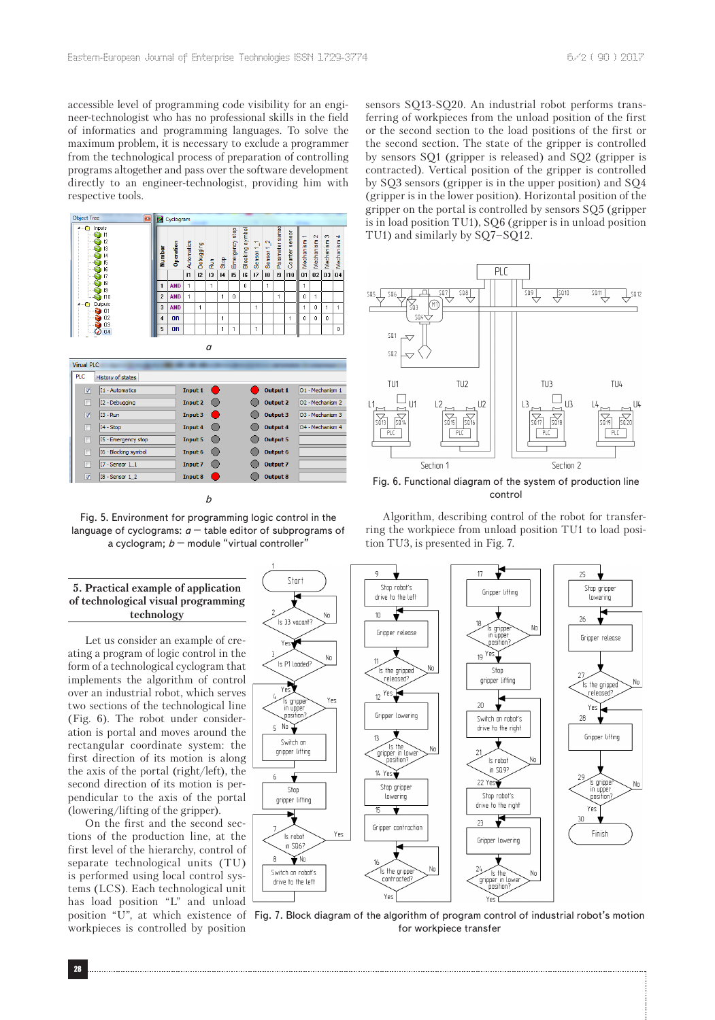accessible level of programming code visibility for an engineer-technologist who has no professional skills in the field of informatics and programming languages. To solve the maximum problem, it is necessary to exclude a programmer from the technological process of preparation of controlling programs altogether and pass over the software development directly to an engineer-technologist, providing him with respective tools.



| <b>Virual PLC</b>                          |                                                            |
|--------------------------------------------|------------------------------------------------------------|
| <b>PLC</b><br>History of states            |                                                            |
| Input 1<br>I1 - Automatics<br>V            | <b>Output 1</b><br>O1 - Mechanism 1                        |
| I2 - Debugging<br><b>Input 2</b><br>F      | <b>Output 2</b><br>O <sub>2</sub> - Mechanism <sub>2</sub> |
| V<br>I3 - Run<br>Input 3                   | <b>Output 3</b><br>O3 - Mechanism 3                        |
| I4 - Stop<br>Input 4<br>г                  | <b>Output 4</b><br>O4 - Mechanism 4                        |
| I5 - Emergency stop<br>г<br><b>Input 5</b> | <b>Output 5</b>                                            |
| I6 - Blocking symbol<br>Input 6<br>F       | <b>Output 6</b>                                            |
| I7 - Sensor 1 1<br><b>Input 7</b><br>F     | <b>Output 7</b>                                            |
| ⊽<br>I8 - Sensor 1 2<br>Input 8            | <b>Output 8</b>                                            |

Fig. 5. Environment for programming logic control in the language of cyclograms:  $a$  – table editor of subprograms of a cyclogram;  $b$  – module "virtual controller"

*b*

## **5. Practical example of application of technological visual programming**

Let us consider an example of creating a program of logic control in the form of a technological cyclogram that implements the algorithm of control over an industrial robot, which serves two sections of the technological line (Fig. 6). The robot under consideration is portal and moves around the rectangular coordinate system: the first direction of its motion is along the axis of the portal (right/left), the second direction of its motion is perpendicular to the axis of the portal (lowering/lifting of the gripper).

**technology**

On the first and the second sections of the production line, at the first level of the hierarchy, control of separate technological units (TU) is performed using local control systems (LCS). Each technological unit has load position "L" and unload workpieces is controlled by position

sensors SQ13-SQ20. An industrial robot performs transferring of workpieces from the unload position of the first or the second section to the load positions of the first or the second section. The state of the gripper is controlled by sensors SQ1 (gripper is released) and SQ2 (gripper is contracted). Vertical position of the gripper is controlled by SQ3 sensors (gripper is in the upper position) and SQ4 (gripper is in the lower position). Horizontal position of the gripper on the portal is controlled by sensors SQ5 (gripper is in load position TU1), SQ6 (gripper is in unload position TU1) and similarly by SQ7–SQ12.



Fig. 6. Functional diagram of the system of production line control

Algorithm, describing control of the robot for transferring the workpiece from unload position TU1 to load position TU3, is presented in Fig. 7.



position "U", at which existence of Fig. 7. Block diagram of the algorithm of program control of industrial robot's motion for workpiece transfer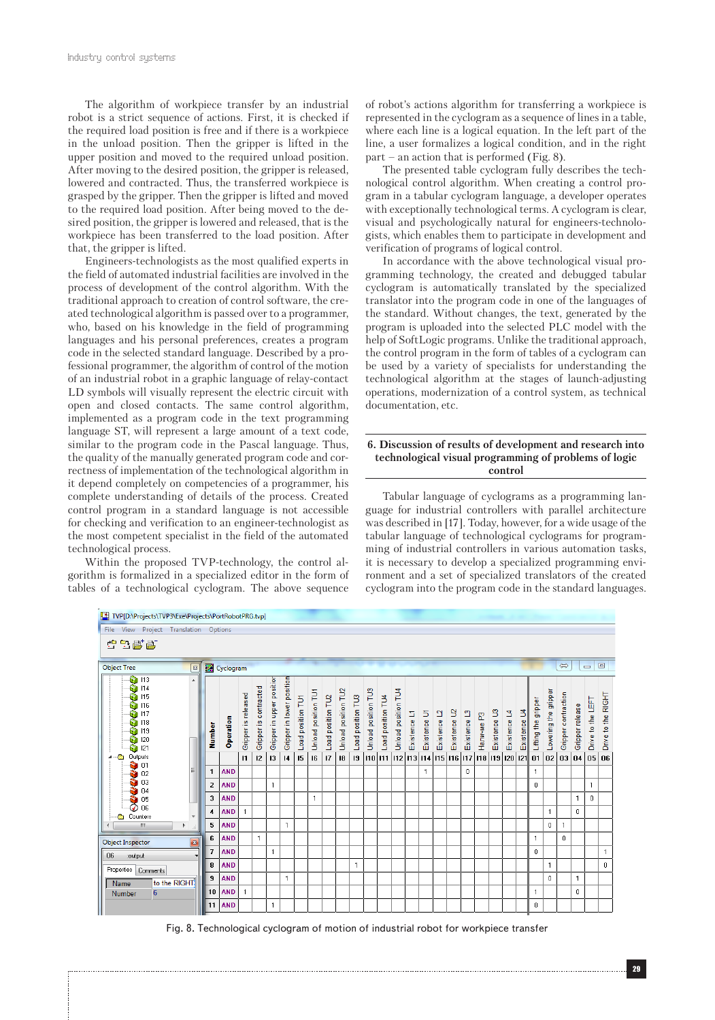The algorithm of workpiece transfer by an industrial robot is a strict sequence of actions. First, it is checked if the required load position is free and if there is a workpiece in the unload position. Then the gripper is lifted in the upper position and moved to the required unload position. After moving to the desired position, the gripper is released, lowered and contracted. Thus, the transferred workpiece is grasped by the gripper. Then the gripper is lifted and moved to the required load position. After being moved to the desired position, the gripper is lowered and released, that is the workpiece has been transferred to the load position. After that, the gripper is lifted.

Engineers-technologists as the most qualified experts in the field of automated industrial facilities are involved in the process of development of the control algorithm. With the traditional approach to creation of control software, the created technological algorithm is passed over to a programmer, who, based on his knowledge in the field of programming languages and his personal preferences, creates a program code in the selected standard language. Described by a professional programmer, the algorithm of control of the motion of an industrial robot in a graphic language of relay-contact LD symbols will visually represent the electric circuit with open and closed contacts. The same control algorithm, implemented as a program code in the text programming language ST, will represent a large amount of a text code, similar to the program code in the Pascal language. Thus, the quality of the manually generated program code and correctness of implementation of the technological algorithm in it depend completely on competencies of a programmer, his complete understanding of details of the process. Created control program in a standard language is not accessible for checking and verification to an engineer-technologist as the most competent specialist in the field of the automated technological process.

Within the proposed TVP-technology, the control algorithm is formalized in a specialized editor in the form of tables of a technological cyclogram. The above sequence of robot's actions algorithm for transferring a workpiece is represented in the cyclogram as a sequence of lines in a table, where each line is a logical equation. In the left part of the line, a user formalizes a logical condition, and in the right part – an action that is performed (Fig. 8).

The presented table cyclogram fully describes the technological control algorithm. When creating a control program in a tabular cyclogram language, a developer operates with exceptionally technological terms. A cyclogram is clear, visual and psychologically natural for engineers-technologists, which enables them to participate in development and verification of programs of logical control.

In accordance with the above technological visual programming technology, the created and debugged tabular cyclogram is automatically translated by the specialized translator into the program code in one of the languages of the standard. Without changes, the text, generated by the program is uploaded into the selected PLC model with the help of SoftLogic programs. Unlike the traditional approach, the control program in the form of tables of a cyclogram can be used by a variety of specialists for understanding the technological algorithm at the stages of launch-adjusting operations, modernization of a control system, as technical documentation, etc.

#### **6. Discussion of results of development and research into technological visual programming of problems of logic control**

Tabular language of cyclograms as a programming language for industrial controllers with parallel architecture was described in [17]. Today, however, for a wide usage of the tabular language of technological cyclograms for programming of industrial controllers in various automation tasks, it is necessary to develop a specialized programming environment and a set of specialized translators of the created cyclogram into the program code in the standard languages.



Fig. 8. Technological cyclogram of motion of industrial robot for workpiece transfer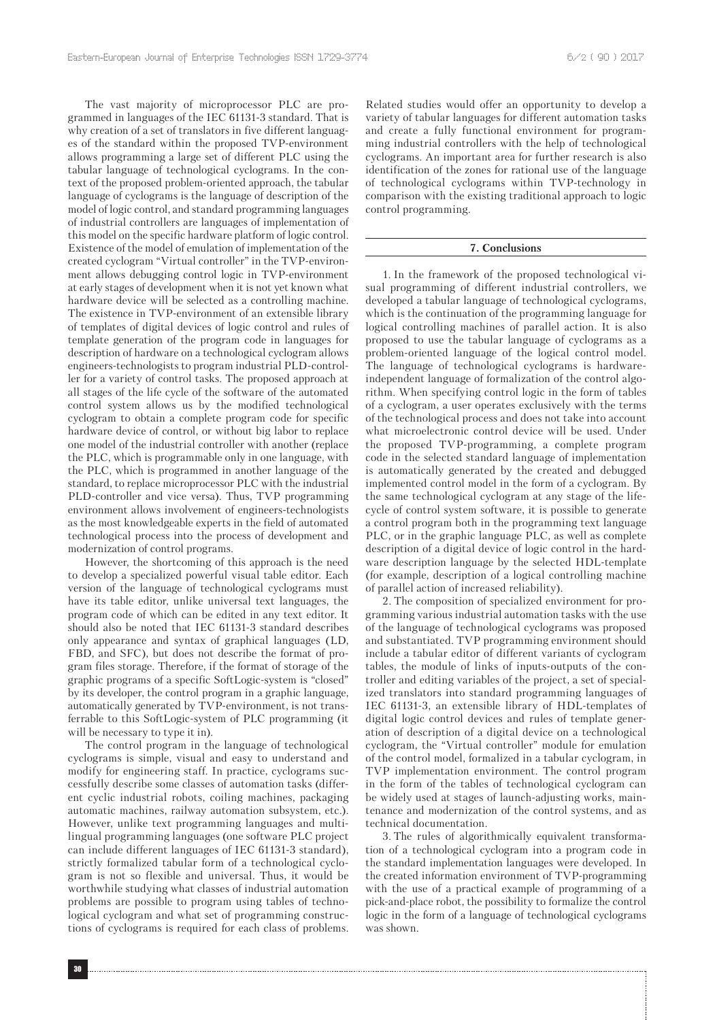The vast majority of microprocessor PLC are programmed in languages of the IEC 61131-3 standard. That is why creation of a set of translators in five different languages of the standard within the proposed TVP-environment allows programming a large set of different PLC using the tabular language of technological cyclograms. In the context of the proposed problem-oriented approach, the tabular language of cyclograms is the language of description of the model of logic control, and standard programming languages of industrial controllers are languages of implementation of this model on the specific hardware platform of logic control. Existence of the model of emulation of implementation of the created cyclogram "Virtual controller" in the TVP-environment allows debugging control logic in TVP-environment at early stages of development when it is not yet known what hardware device will be selected as a controlling machine. The existence in TVP-environment of an extensible library of templates of digital devices of logic control and rules of template generation of the program code in languages for description of hardware on a technological cyclogram allows engineers-technologists to program industrial PLD-controller for a variety of control tasks. The proposed approach at all stages of the life cycle of the software of the automated control system allows us by the modified technological cyclogram to obtain a complete program code for specific hardware device of control, or without big labor to replace one model of the industrial controller with another (replace the PLC, which is programmable only in one language, with the PLC, which is programmed in another language of the standard, to replace microprocessor PLC with the industrial PLD-controller and vice versa). Thus, TVP programming environment allows involvement of engineers-technologists as the most knowledgeable experts in the field of automated technological process into the process of development and modernization of control programs.

However, the shortcoming of this approach is the need to develop a specialized powerful visual table editor. Each version of the language of technological cyclograms must have its table editor, unlike universal text languages, the program code of which can be edited in any text editor. It should also be noted that IEC 61131-3 standard describes only appearance and syntax of graphical languages (LD, FBD, and SFC), but does not describe the format of program files storage. Therefore, if the format of storage of the graphic programs of a specific SoftLogic-system is "closed" by its developer, the control program in a graphic language, automatically generated by TVP-environment, is not transferrable to this SoftLogic-system of PLC programming (it will be necessary to type it in).

The control program in the language of technological cyclograms is simple, visual and easy to understand and modify for engineering staff. In practice, cyclograms successfully describe some classes of automation tasks (different cyclic industrial robots, coiling machines, packaging automatic machines, railway automation subsystem, etc.). However, unlike text programming languages and multilingual programming languages (one software PLC project can include different languages of IEC 61131-3 standard), strictly formalized tabular form of a technological cyclogram is not so flexible and universal. Thus, it would be worthwhile studying what classes of industrial automation problems are possible to program using tables of technological cyclogram and what set of programming constructions of cyclograms is required for each class of problems.

Related studies would offer an opportunity to develop a variety of tabular languages for different automation tasks and create a fully functional environment for programming industrial controllers with the help of technological cyclograms. An important area for further research is also identification of the zones for rational use of the language of technological cyclograms within TVP-technology in comparison with the existing traditional approach to logic control programming.

#### **7. Conclusions**

1. In the framework of the proposed technological visual programming of different industrial controllers, we developed a tabular language of technological cyclograms, which is the continuation of the programming language for logical controlling machines of parallel action. It is also proposed to use the tabular language of cyclograms as a problem-oriented language of the logical control model. The language of technological cyclograms is hardwareindependent language of formalization of the control algorithm. When specifying control logic in the form of tables of a cyclogram, a user operates exclusively with the terms of the technological process and does not take into account what microelectronic control device will be used. Under the proposed TVP-programming, a complete program code in the selected standard language of implementation is automatically generated by the created and debugged implemented control model in the form of a cyclogram. By the same technological cyclogram at any stage of the lifecycle of control system software, it is possible to generate a control program both in the programming text language PLC, or in the graphic language PLC, as well as complete description of a digital device of logic control in the hardware description language by the selected HDL-template (for example, description of a logical controlling machine of parallel action of increased reliability).

2. The composition of specialized environment for programming various industrial automation tasks with the use of the language of technological cyclograms was proposed and substantiated. TVP programming environment should include a tabular editor of different variants of cyclogram tables, the module of links of inputs-outputs of the controller and editing variables of the project, a set of specialized translators into standard programming languages of IEC 61131-3, an extensible library of HDL-templates of digital logic control devices and rules of template generation of description of a digital device on a technological cyclogram, the "Virtual controller" module for emulation of the control model, formalized in a tabular cyclogram, in TVP implementation environment. The control program in the form of the tables of technological cyclogram can be widely used at stages of launch-adjusting works, maintenance and modernization of the control systems, and as technical documentation.

3. The rules of algorithmically equivalent transformation of a technological cyclogram into a program code in the standard implementation languages were developed. In the created information environment of TVP-programming with the use of a practical example of programming of a pick-and-place robot, the possibility to formalize the control logic in the form of a language of technological cyclograms was shown.